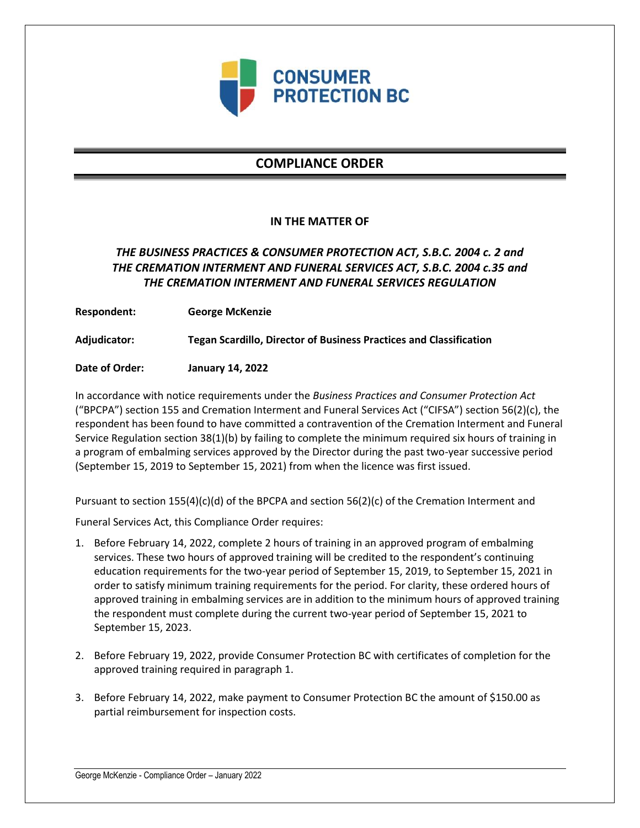

# **COMPLIANCE ORDER**

### **IN THE MATTER OF**

## *THE BUSINESS PRACTICES & CONSUMER PROTECTION ACT, S.B.C. 2004 c. 2 and THE CREMATION INTERMENT AND FUNERAL SERVICES ACT, S.B.C. 2004 c.35 and THE CREMATION INTERMENT AND FUNERAL SERVICES REGULATION*

**Respondent: George McKenzie**

**Adjudicator: Tegan Scardillo, Director of Business Practices and Classification**

**Date of Order: January 14, 2022**

In accordance with notice requirements under the *Business Practices and Consumer Protection Act* ("BPCPA") section 155 and Cremation Interment and Funeral Services Act ("CIFSA") section 56(2)(c), the respondent has been found to have committed a contravention of the Cremation Interment and Funeral Service Regulation section 38(1)(b) by failing to complete the minimum required six hours of training in a program of embalming services approved by the Director during the past two-year successive period (September 15, 2019 to September 15, 2021) from when the licence was first issued.

Pursuant to section 155(4)(c)(d) of the BPCPA and section 56(2)(c) of the Cremation Interment and

Funeral Services Act, this Compliance Order requires:

- 1. Before February 14, 2022, complete 2 hours of training in an approved program of embalming services. These two hours of approved training will be credited to the respondent's continuing education requirements for the two-year period of September 15, 2019, to September 15, 2021 in order to satisfy minimum training requirements for the period. For clarity, these ordered hours of approved training in embalming services are in addition to the minimum hours of approved training the respondent must complete during the current two-year period of September 15, 2021 to September 15, 2023.
- 2. Before February 19, 2022, provide Consumer Protection BC with certificates of completion for the approved training required in paragraph 1.
- 3. Before February 14, 2022, make payment to Consumer Protection BC the amount of \$150.00 as partial reimbursement for inspection costs.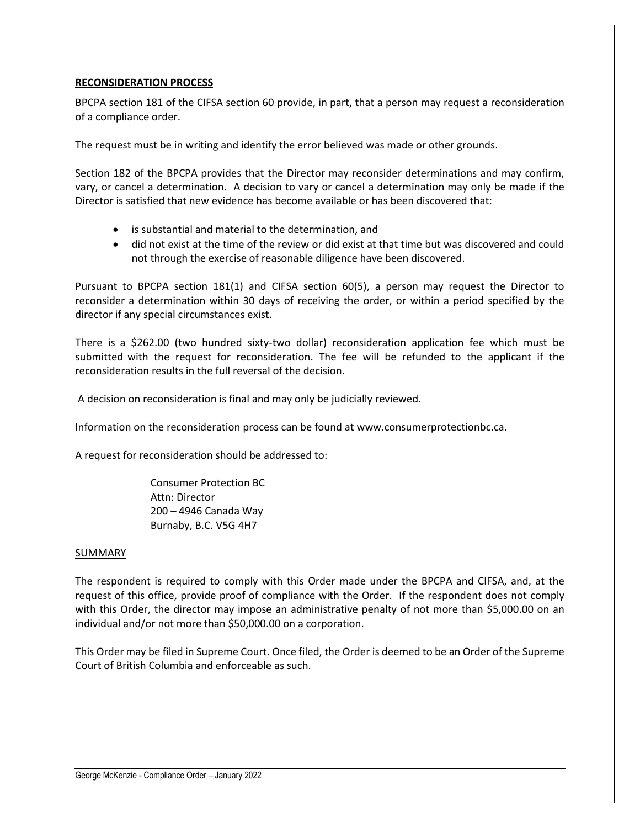### **RECONSIDERATION PROCESS**

BPCPA section 181 of the CIFSA section 60 provide, in part, that a person may request a reconsideration of a compliance order.

The request must be in writing and identify the error believed was made or other grounds.

Section 182 of the BPCPA provides that the Director may reconsider determinations and may confirm, vary, or cancel a determination. A decision to vary or cancel a determination may only be made if the Director is satisfied that new evidence has become available or has been discovered that:

- is substantial and material to the determination, and
- did not exist at the time of the review or did exist at that time but was discovered and could not through the exercise of reasonable diligence have been discovered.

Pursuant to BPCPA section 181(1) and CIFSA section 60(5), a person may request the Director to reconsider a determination within 30 days of receiving the order, or within a period specified by the director if any special circumstances exist.

There is a \$262.00 (two hundred sixty-two dollar) reconsideration application fee which must be submitted with the request for reconsideration. The fee will be refunded to the applicant if the reconsideration results in the full reversal of the decision.

A decision on reconsideration is final and may only be judicially reviewed.

Information on the reconsideration process can be found at www.consumerprotectionbc.ca.

A request for reconsideration should be addressed to:

Consumer Protection BC Attn: Director 200 – 4946 Canada Way Burnaby, B.C. V5G 4H7

#### SUMMARY

The respondent is required to comply with this Order made under the BPCPA and CIFSA, and, at the request of this office, provide proof of compliance with the Order. If the respondent does not comply with this Order, the director may impose an administrative penalty of not more than \$5,000.00 on an individual and/or not more than \$50,000.00 on a corporation.

This Order may be filed in Supreme Court. Once filed, the Order is deemed to be an Order of the Supreme Court of British Columbia and enforceable as such.